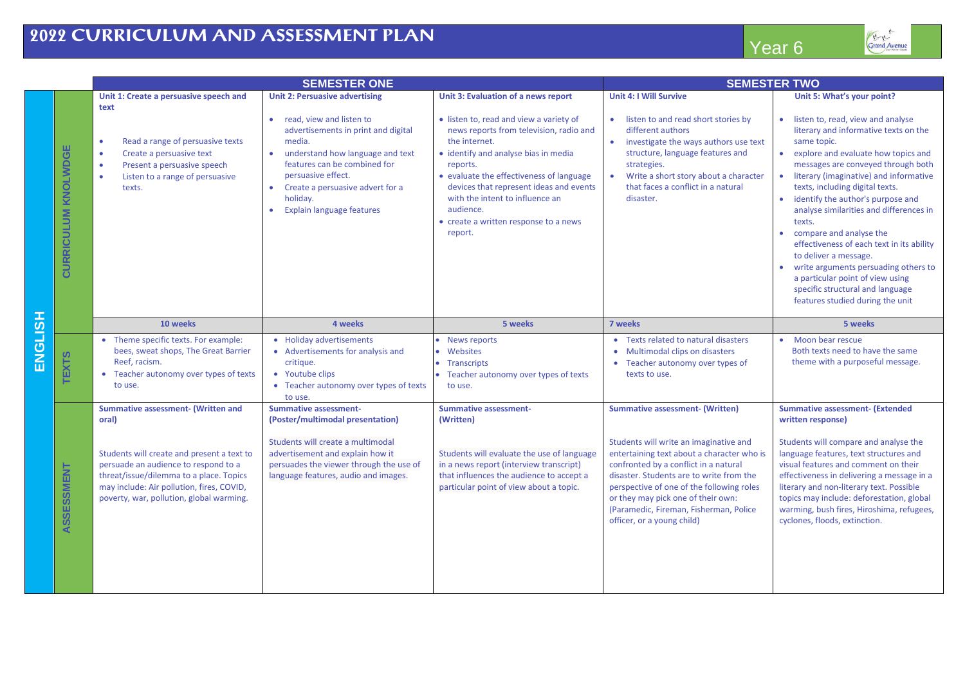## **2022 CURRICULUM AND ASSESSMENT PLAN**

| Year <sub>6</sub> |  |
|-------------------|--|
|                   |  |
|                   |  |

|               |                     | <b>SEMESTER ONE</b>                                                                                                                                                                                                    |                                                                                                                                                                                                      |                                                                                                                                                                                                                                             | <b>SEMESTER TWO</b>                                                                                                                                                                                                                                                                                                                  |                                                                                                                                                                                                                                                                                                                                                                                                                                                                                                                          |
|---------------|---------------------|------------------------------------------------------------------------------------------------------------------------------------------------------------------------------------------------------------------------|------------------------------------------------------------------------------------------------------------------------------------------------------------------------------------------------------|---------------------------------------------------------------------------------------------------------------------------------------------------------------------------------------------------------------------------------------------|--------------------------------------------------------------------------------------------------------------------------------------------------------------------------------------------------------------------------------------------------------------------------------------------------------------------------------------|--------------------------------------------------------------------------------------------------------------------------------------------------------------------------------------------------------------------------------------------------------------------------------------------------------------------------------------------------------------------------------------------------------------------------------------------------------------------------------------------------------------------------|
|               |                     | Unit 1: Create a persuasive speech and<br>text<br>Read a range of persuasive texts<br>$\bullet$                                                                                                                        | <b>Unit 2: Persuasive advertising</b><br>read, view and listen to<br>$\bullet$<br>advertisements in print and digital<br>media.                                                                      | Unit 3: Evaluation of a news report<br>· listen to, read and view a variety of<br>news reports from television, radio and<br>the internet.                                                                                                  | <b>Unit 4: I Will Survive</b><br>listen to and read short stories by<br>$\bullet$<br>different authors<br>$\bullet$<br>investigate the ways authors use text                                                                                                                                                                         | Unit 5: What's your point?<br>• listen to, read, view and analyse<br>literary and informative texts on the<br>same topic.                                                                                                                                                                                                                                                                                                                                                                                                |
|               | CURRICULUM KNOLWDGE | Create a persuasive text<br>$\bullet$<br>Present a persuasive speech<br>$\bullet$<br>Listen to a range of persuasive<br>texts.                                                                                         | understand how language and text<br>$\bullet$<br>features can be combined for<br>persuasive effect.<br>Create a persuasive advert for a<br>$\bullet$<br>holiday.<br><b>Explain language features</b> | · identify and analyse bias in media<br>reports.<br>• evaluate the effectiveness of language<br>devices that represent ideas and events<br>with the intent to influence an<br>audience.<br>• create a written response to a news<br>report. | structure, language features and<br>strategies.<br>Write a short story about a character<br>$\bullet$<br>that faces a conflict in a natural<br>disaster.                                                                                                                                                                             | explore and evaluate how topics and<br>$\bullet$<br>messages are conveyed through both<br>• literary (imaginative) and informative<br>texts, including digital texts.<br>• identify the author's purpose and<br>analyse similarities and differences in<br>texts.<br>• compare and analyse the<br>effectiveness of each text in its ability<br>to deliver a message.<br>write arguments persuading others to<br>a particular point of view using<br>specific structural and language<br>features studied during the unit |
|               |                     | 10 weeks                                                                                                                                                                                                               | 4 weeks                                                                                                                                                                                              | 5 weeks                                                                                                                                                                                                                                     | 7 weeks                                                                                                                                                                                                                                                                                                                              | 5 weeks                                                                                                                                                                                                                                                                                                                                                                                                                                                                                                                  |
| <b>HSLISN</b> | <b>TEXTS</b>        | • Theme specific texts. For example:<br>bees, sweat shops, The Great Barrier<br>Reef, racism.<br>• Teacher autonomy over types of texts<br>to use.                                                                     | • Holiday advertisements<br>• Advertisements for analysis and<br>critique.<br>• Youtube clips<br>• Teacher autonomy over types of texts<br>to use.                                                   | • News reports<br>Websites<br>• Transcripts<br>• Teacher autonomy over types of texts<br>to use.                                                                                                                                            | • Texts related to natural disasters<br>Multimodal clips on disasters<br>٠<br>Teacher autonomy over types of<br>٠<br>texts to use.                                                                                                                                                                                                   | • Moon bear rescue<br>Both texts need to have the same<br>theme with a purposeful message.                                                                                                                                                                                                                                                                                                                                                                                                                               |
|               |                     | <b>Summative assessment- (Written and</b><br>oral)                                                                                                                                                                     | <b>Summative assessment-</b><br>(Poster/multimodal presentation)                                                                                                                                     | <b>Summative assessment-</b><br>(Written)                                                                                                                                                                                                   | <b>Summative assessment- (Written)</b>                                                                                                                                                                                                                                                                                               | <b>Summative assessment- (Extended</b><br>written response)                                                                                                                                                                                                                                                                                                                                                                                                                                                              |
|               | ASSESSMENT          | Students will create and present a text to<br>persuade an audience to respond to a<br>threat/issue/dilemma to a place. Topics<br>may include: Air pollution, fires, COVID,<br>poverty, war, pollution, global warming. | Students will create a multimodal<br>advertisement and explain how it<br>persuades the viewer through the use of<br>language features, audio and images.                                             | Students will evaluate the use of language<br>in a news report (interview transcript)<br>that influences the audience to accept a<br>particular point of view about a topic.                                                                | Students will write an imaginative and<br>entertaining text about a character who is<br>confronted by a conflict in a natural<br>disaster. Students are to write from the<br>perspective of one of the following roles<br>or they may pick one of their own:<br>(Paramedic, Fireman, Fisherman, Police<br>officer, or a young child) | Students will compare and analyse the<br>language features, text structures and<br>visual features and comment on their<br>effectiveness in delivering a message in a<br>literary and non-literary text. Possible<br>topics may include: deforestation, global<br>warming, bush fires, Hiroshima, refugees,<br>cyclones, floods, extinction.                                                                                                                                                                             |
|               |                     |                                                                                                                                                                                                                        |                                                                                                                                                                                                      |                                                                                                                                                                                                                                             |                                                                                                                                                                                                                                                                                                                                      |                                                                                                                                                                                                                                                                                                                                                                                                                                                                                                                          |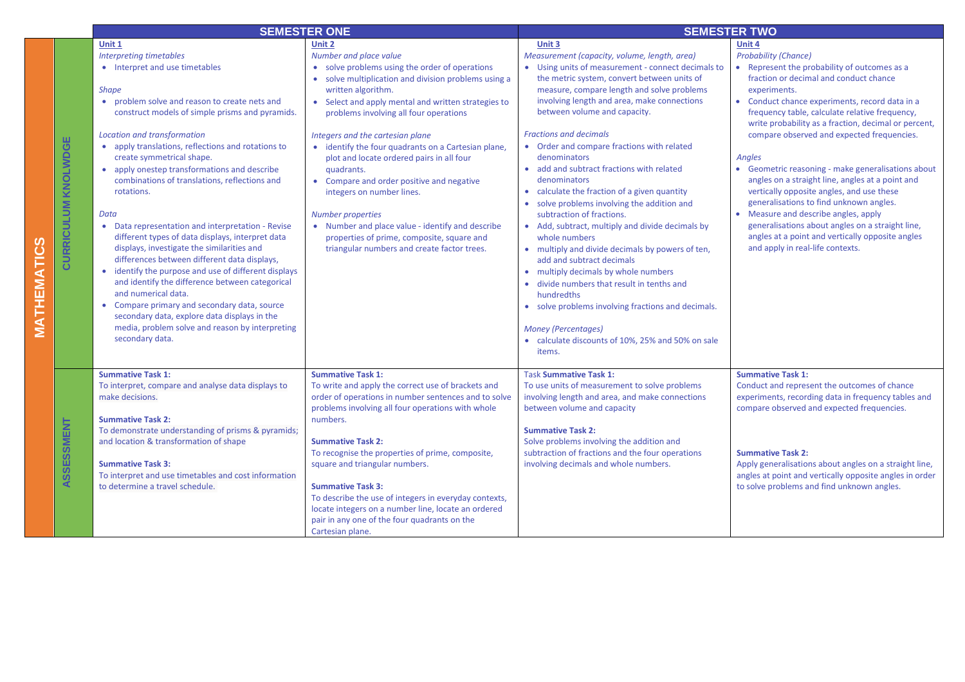|                     |                     | <b>SEMESTER ONE</b>                                                                                                                                                                                                                                                                                                                                                                                                                                                                                                                                                                                                                                                                                                                                                                                                                                                                                                                                      |                                                                                                                                                                                                                                                                                                                                                                                                                                                                                                                                                                                                                                                                                | <b>SEMESTER TWO</b>                                                                                                                                                                                                                                                                                                                                                                                                                                                                                                                                                                                                                                                                                                                                                                                                                                                                                                                                                                           |                                                                                                                                                                                                                                                                                                                                                                                                                                                                                                                                                                                                                                                                                                                                                                 |
|---------------------|---------------------|----------------------------------------------------------------------------------------------------------------------------------------------------------------------------------------------------------------------------------------------------------------------------------------------------------------------------------------------------------------------------------------------------------------------------------------------------------------------------------------------------------------------------------------------------------------------------------------------------------------------------------------------------------------------------------------------------------------------------------------------------------------------------------------------------------------------------------------------------------------------------------------------------------------------------------------------------------|--------------------------------------------------------------------------------------------------------------------------------------------------------------------------------------------------------------------------------------------------------------------------------------------------------------------------------------------------------------------------------------------------------------------------------------------------------------------------------------------------------------------------------------------------------------------------------------------------------------------------------------------------------------------------------|-----------------------------------------------------------------------------------------------------------------------------------------------------------------------------------------------------------------------------------------------------------------------------------------------------------------------------------------------------------------------------------------------------------------------------------------------------------------------------------------------------------------------------------------------------------------------------------------------------------------------------------------------------------------------------------------------------------------------------------------------------------------------------------------------------------------------------------------------------------------------------------------------------------------------------------------------------------------------------------------------|-----------------------------------------------------------------------------------------------------------------------------------------------------------------------------------------------------------------------------------------------------------------------------------------------------------------------------------------------------------------------------------------------------------------------------------------------------------------------------------------------------------------------------------------------------------------------------------------------------------------------------------------------------------------------------------------------------------------------------------------------------------------|
| ∑<br>Ш<br><b>エス</b> | CURRICULUM KNOLWDGE | Unit 1<br>Interpreting timetables<br>• Interpret and use timetables<br><b>Shape</b><br>problem solve and reason to create nets and<br>$\bullet$<br>construct models of simple prisms and pyramids.<br>Location and transformation<br>• apply translations, reflections and rotations to<br>create symmetrical shape.<br>• apply onestep transformations and describe<br>combinations of translations, reflections and<br>rotations.<br>Data<br>Data representation and interpretation - Revise<br>different types of data displays, interpret data<br>displays, investigate the similarities and<br>differences between different data displays,<br>• identify the purpose and use of different displays<br>and identify the difference between categorical<br>and numerical data.<br>• Compare primary and secondary data, source<br>secondary data, explore data displays in the<br>media, problem solve and reason by interpreting<br>secondary data. | Unit 2<br>Number and place value<br>• solve problems using the order of operations<br>• solve multiplication and division problems using a<br>written algorithm.<br>• Select and apply mental and written strategies to<br>problems involving all four operations<br>Integers and the cartesian plane<br>• identify the four quadrants on a Cartesian plane,<br>plot and locate ordered pairs in all four<br>quadrants.<br>• Compare and order positive and negative<br>integers on number lines.<br><b>Number properties</b><br>• Number and place value - identify and describe<br>properties of prime, composite, square and<br>triangular numbers and create factor trees. | Unit 3<br>Measurement (capacity, volume, length, area)<br>• Using units of measurement - connect decimals to<br>the metric system, convert between units of<br>measure, compare length and solve problems<br>involving length and area, make connections<br>between volume and capacity.<br><b>Fractions and decimals</b><br>• Order and compare fractions with related<br>denominators<br>• add and subtract fractions with related<br>denominators<br>• calculate the fraction of a given quantity<br>• solve problems involving the addition and<br>subtraction of fractions.<br>• Add, subtract, multiply and divide decimals by<br>whole numbers<br>• multiply and divide decimals by powers of ten,<br>add and subtract decimals<br>• multiply decimals by whole numbers<br>• divide numbers that result in tenths and<br>hundredths<br>• solve problems involving fractions and decimals.<br><b>Money (Percentages)</b><br>• calculate discounts of 10%, 25% and 50% on sale<br>items. | Unit 4<br><b>Probability (Chance)</b><br>Represent the probability of outcomes as a<br>fraction or decimal and conduct chance<br>experiments.<br>Conduct chance experiments, record data in a<br>frequency table, calculate relative frequency,<br>write probability as a fraction, decimal or percent,<br>compare observed and expected frequencies.<br><b>Angles</b><br>Geometric reasoning - make generalisations about<br>٠<br>angles on a straight line, angles at a point and<br>vertically opposite angles, and use these<br>generalisations to find unknown angles.<br>• Measure and describe angles, apply<br>generalisations about angles on a straight line,<br>angles at a point and vertically opposite angles<br>and apply in real-life contexts. |
|                     | ASSESSMENT          | <b>Summative Task 1:</b><br>To interpret, compare and analyse data displays to<br>make decisions.<br><b>Summative Task 2:</b><br>To demonstrate understanding of prisms & pyramids;<br>and location & transformation of shape<br><b>Summative Task 3:</b><br>To interpret and use timetables and cost information<br>to determine a travel schedule.                                                                                                                                                                                                                                                                                                                                                                                                                                                                                                                                                                                                     | <b>Summative Task 1:</b><br>To write and apply the correct use of brackets and<br>order of operations in number sentences and to solve<br>problems involving all four operations with whole<br>numbers.<br><b>Summative Task 2:</b><br>To recognise the properties of prime, composite,<br>square and triangular numbers.<br><b>Summative Task 3:</b><br>To describe the use of integers in everyday contexts,<br>locate integers on a number line, locate an ordered<br>pair in any one of the four quadrants on the<br>Cartesian plane.                                                                                                                                      | <b>Task Summative Task 1:</b><br>To use units of measurement to solve problems<br>involving length and area, and make connections<br>between volume and capacity<br><b>Summative Task 2:</b><br>Solve problems involving the addition and<br>subtraction of fractions and the four operations<br>involving decimals and whole numbers.                                                                                                                                                                                                                                                                                                                                                                                                                                                                                                                                                                                                                                                        | <b>Summative Task 1:</b><br>Conduct and represent the outcomes of chance<br>experiments, recording data in frequency tables and<br>compare observed and expected frequencies.<br><b>Summative Task 2:</b><br>Apply generalisations about angles on a straight line,<br>angles at point and vertically opposite angles in order<br>to solve problems and find unknown angles.                                                                                                                                                                                                                                                                                                                                                                                    |

**MATHEMATICS**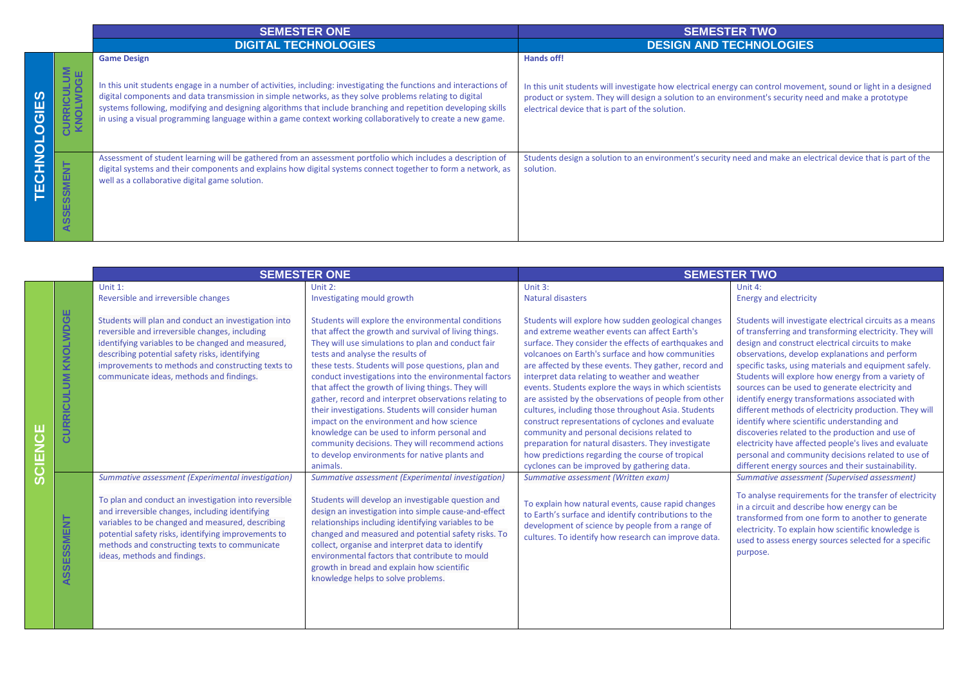|                          |                                         | <b>SEMESTER ONE</b>                                                                                                                                                                                                                                                                                                                                                                                                                                                                | <b>SEMESTER TWO</b>                                                                                                                                                                                                                                                                       |  |
|--------------------------|-----------------------------------------|------------------------------------------------------------------------------------------------------------------------------------------------------------------------------------------------------------------------------------------------------------------------------------------------------------------------------------------------------------------------------------------------------------------------------------------------------------------------------------|-------------------------------------------------------------------------------------------------------------------------------------------------------------------------------------------------------------------------------------------------------------------------------------------|--|
|                          |                                         | <b>DIGITAL TECHNOLOGIES</b>                                                                                                                                                                                                                                                                                                                                                                                                                                                        | <b>DESIGN AND TECHNOLOGIES</b>                                                                                                                                                                                                                                                            |  |
| GIES<br>-                | RICULUM<br><b>DLWDGE</b><br><u>ng s</u> | <b>Game Design</b><br>In this unit students engage in a number of activities, including: investigating the functions and interactions of<br>digital components and data transmission in simple networks, as they solve problems relating to digital<br>systems following, modifying and designing algorithms that include branching and repetition developing skills<br>in using a visual programming language within a game context working collaboratively to create a new game. | Hands off!<br>In this unit students will investigate how electrical energy can control movement, sound or light in a designed<br>product or system. They will design a solution to an environment's security need and make a prototype<br>electrical device that is part of the solution. |  |
| O<br>N<br>T<br><u>ວັ</u> | <b>INENISS</b><br>SSE<br>◀              | Assessment of student learning will be gathered from an assessment portfolio which includes a description of<br>digital systems and their components and explains how digital systems connect together to form a network, as<br>well as a collaborative digital game solution.                                                                                                                                                                                                     | Students design a solution to an environment's security need and make an electrical device that is part of the<br>solution.                                                                                                                                                               |  |

|   |                        | <b>SEMESTER ONE</b>                                                                                                                                                                                                                                                                                            |                                                                                                                                                                                                                                                                                                                                                                                                                                                                                                                                                                                                                                                                                                          | <b>SEMESTER TWO</b>                                                                                                                                                                                                                                                                                                                                                                                                                                                                                                                                                                                                                                                                                                                                                  |                                                                                                                                                                                                                                                                                                                                                                                                                                                                                                                                                                                                                                                                                                                                                                                  |
|---|------------------------|----------------------------------------------------------------------------------------------------------------------------------------------------------------------------------------------------------------------------------------------------------------------------------------------------------------|----------------------------------------------------------------------------------------------------------------------------------------------------------------------------------------------------------------------------------------------------------------------------------------------------------------------------------------------------------------------------------------------------------------------------------------------------------------------------------------------------------------------------------------------------------------------------------------------------------------------------------------------------------------------------------------------------------|----------------------------------------------------------------------------------------------------------------------------------------------------------------------------------------------------------------------------------------------------------------------------------------------------------------------------------------------------------------------------------------------------------------------------------------------------------------------------------------------------------------------------------------------------------------------------------------------------------------------------------------------------------------------------------------------------------------------------------------------------------------------|----------------------------------------------------------------------------------------------------------------------------------------------------------------------------------------------------------------------------------------------------------------------------------------------------------------------------------------------------------------------------------------------------------------------------------------------------------------------------------------------------------------------------------------------------------------------------------------------------------------------------------------------------------------------------------------------------------------------------------------------------------------------------------|
|   |                        | Unit $1$ :                                                                                                                                                                                                                                                                                                     | Unit $2:$                                                                                                                                                                                                                                                                                                                                                                                                                                                                                                                                                                                                                                                                                                | Unit 3:                                                                                                                                                                                                                                                                                                                                                                                                                                                                                                                                                                                                                                                                                                                                                              | Unit 4:                                                                                                                                                                                                                                                                                                                                                                                                                                                                                                                                                                                                                                                                                                                                                                          |
|   |                        | Reversible and irreversible changes                                                                                                                                                                                                                                                                            | Investigating mould growth                                                                                                                                                                                                                                                                                                                                                                                                                                                                                                                                                                                                                                                                               | <b>Natural disasters</b>                                                                                                                                                                                                                                                                                                                                                                                                                                                                                                                                                                                                                                                                                                                                             | <b>Energy and electricity</b>                                                                                                                                                                                                                                                                                                                                                                                                                                                                                                                                                                                                                                                                                                                                                    |
|   | KNOLWDGE<br>CURRICULUM | Students will plan and conduct an investigation into<br>reversible and irreversible changes, including<br>identifying variables to be changed and measured,<br>describing potential safety risks, identifying<br>improvements to methods and constructing texts to<br>communicate ideas, methods and findings. | Students will explore the environmental conditions<br>that affect the growth and survival of living things.<br>They will use simulations to plan and conduct fair<br>tests and analyse the results of<br>these tests. Students will pose questions, plan and<br>conduct investigations into the environmental factors<br>that affect the growth of living things. They will<br>gather, record and interpret observations relating to<br>their investigations. Students will consider human<br>impact on the environment and how science<br>knowledge can be used to inform personal and<br>community decisions. They will recommend actions<br>to develop environments for native plants and<br>animals. | Students will explore how sudden geological changes<br>and extreme weather events can affect Earth's<br>surface. They consider the effects of earthquakes and<br>volcanoes on Earth's surface and how communities<br>are affected by these events. They gather, record and<br>interpret data relating to weather and weather<br>events. Students explore the ways in which scientists<br>are assisted by the observations of people from other<br>cultures, including those throughout Asia. Students<br>construct representations of cyclones and evaluate<br>community and personal decisions related to<br>preparation for natural disasters. They investigate<br>how predictions regarding the course of tropical<br>cyclones can be improved by gathering data. | Students will investigate electrical circuits as a means<br>of transferring and transforming electricity. They will<br>design and construct electrical circuits to make<br>observations, develop explanations and perform<br>specific tasks, using materials and equipment safely.<br>Students will explore how energy from a variety of<br>sources can be used to generate electricity and<br>identify energy transformations associated with<br>different methods of electricity production. They will<br>identify where scientific understanding and<br>discoveries related to the production and use of<br>electricity have affected people's lives and evaluate<br>personal and community decisions related to use of<br>different energy sources and their sustainability. |
| ഗ |                        | Summative assessment (Experimental investigation)                                                                                                                                                                                                                                                              | Summative assessment (Experimental investigation)                                                                                                                                                                                                                                                                                                                                                                                                                                                                                                                                                                                                                                                        | Summative assessment (Written exam)                                                                                                                                                                                                                                                                                                                                                                                                                                                                                                                                                                                                                                                                                                                                  | Summative assessment (Supervised assessment)                                                                                                                                                                                                                                                                                                                                                                                                                                                                                                                                                                                                                                                                                                                                     |
|   | <b>SSESSMENT</b><br>₹  | To plan and conduct an investigation into reversible<br>and irreversible changes, including identifying<br>variables to be changed and measured, describing<br>potential safety risks, identifying improvements to<br>methods and constructing texts to communicate<br>ideas, methods and findings.            | Students will develop an investigable question and<br>design an investigation into simple cause-and-effect<br>relationships including identifying variables to be<br>changed and measured and potential safety risks. To<br>collect, organise and interpret data to identify<br>environmental factors that contribute to mould<br>growth in bread and explain how scientific<br>knowledge helps to solve problems.                                                                                                                                                                                                                                                                                       | To explain how natural events, cause rapid changes<br>to Earth's surface and identify contributions to the<br>development of science by people from a range of<br>cultures. To identify how research can improve data.                                                                                                                                                                                                                                                                                                                                                                                                                                                                                                                                               | To analyse requirements for the transfer of electricity<br>in a circuit and describe how energy can be<br>transformed from one form to another to generate<br>electricity. To explain how scientific knowledge is<br>used to assess energy sources selected for a specific<br>purpose.                                                                                                                                                                                                                                                                                                                                                                                                                                                                                           |
|   |                        |                                                                                                                                                                                                                                                                                                                |                                                                                                                                                                                                                                                                                                                                                                                                                                                                                                                                                                                                                                                                                                          |                                                                                                                                                                                                                                                                                                                                                                                                                                                                                                                                                                                                                                                                                                                                                                      |                                                                                                                                                                                                                                                                                                                                                                                                                                                                                                                                                                                                                                                                                                                                                                                  |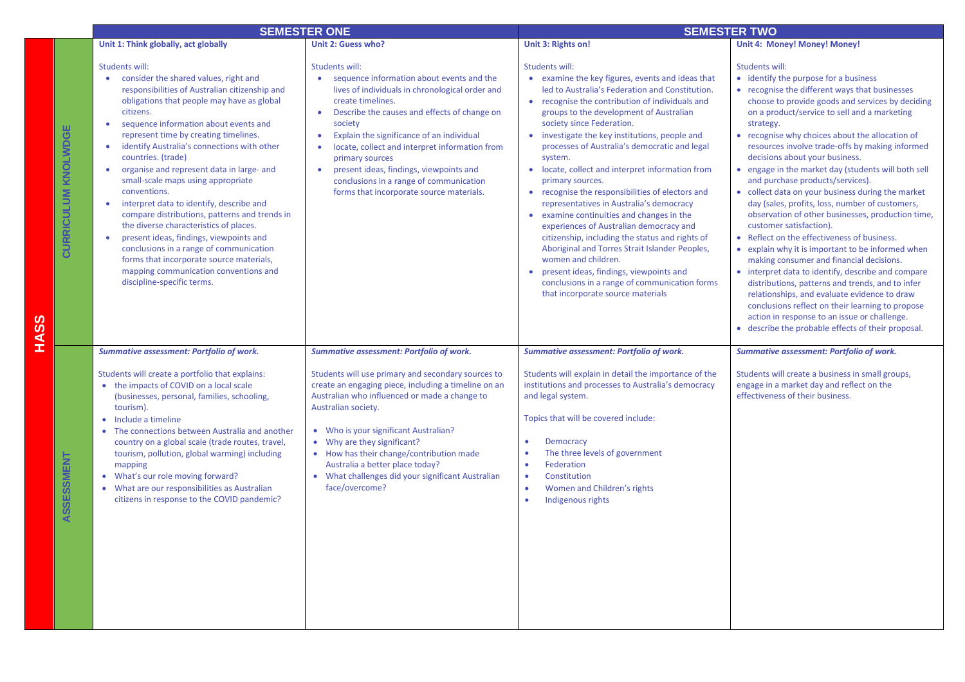|                              |                                                                                                                                                                                                                                                                                                                                                                                                                                                                                                                                                                                                                                                                                                                                                                                             | <b>SEMESTER ONE</b>                                                                                                                                                                                                                                                                                                                                                                                                                                               | <b>SEMESTER TWO</b>                                                                                                                                                                                                                                                                                                                                                                                                                                                                                                                                                                                                                                                                                                                                                                                                                                                                                |                                                                                                                                                                                                                                                                                                                                                                                                                                                                                                                                                                                                                                                                                                                                                                                                                                                                                                                                                                                                                                                                                                                           |  |
|------------------------------|---------------------------------------------------------------------------------------------------------------------------------------------------------------------------------------------------------------------------------------------------------------------------------------------------------------------------------------------------------------------------------------------------------------------------------------------------------------------------------------------------------------------------------------------------------------------------------------------------------------------------------------------------------------------------------------------------------------------------------------------------------------------------------------------|-------------------------------------------------------------------------------------------------------------------------------------------------------------------------------------------------------------------------------------------------------------------------------------------------------------------------------------------------------------------------------------------------------------------------------------------------------------------|----------------------------------------------------------------------------------------------------------------------------------------------------------------------------------------------------------------------------------------------------------------------------------------------------------------------------------------------------------------------------------------------------------------------------------------------------------------------------------------------------------------------------------------------------------------------------------------------------------------------------------------------------------------------------------------------------------------------------------------------------------------------------------------------------------------------------------------------------------------------------------------------------|---------------------------------------------------------------------------------------------------------------------------------------------------------------------------------------------------------------------------------------------------------------------------------------------------------------------------------------------------------------------------------------------------------------------------------------------------------------------------------------------------------------------------------------------------------------------------------------------------------------------------------------------------------------------------------------------------------------------------------------------------------------------------------------------------------------------------------------------------------------------------------------------------------------------------------------------------------------------------------------------------------------------------------------------------------------------------------------------------------------------------|--|
|                              | Unit 1: Think globally, act globally                                                                                                                                                                                                                                                                                                                                                                                                                                                                                                                                                                                                                                                                                                                                                        | <b>Unit 2: Guess who?</b>                                                                                                                                                                                                                                                                                                                                                                                                                                         | Unit 3: Rights on!                                                                                                                                                                                                                                                                                                                                                                                                                                                                                                                                                                                                                                                                                                                                                                                                                                                                                 | Unit 4: Money! Money! Money!                                                                                                                                                                                                                                                                                                                                                                                                                                                                                                                                                                                                                                                                                                                                                                                                                                                                                                                                                                                                                                                                                              |  |
| <b>CURRICULUM KNOLWDGE</b>   | Students will:<br>consider the shared values, right and<br>responsibilities of Australian citizenship and<br>obligations that people may have as global<br>citizens.<br>sequence information about events and<br>$\bullet$<br>represent time by creating timelines.<br>identify Australia's connections with other<br>countries. (trade)<br>organise and represent data in large- and<br>small-scale maps using appropriate<br>conventions.<br>interpret data to identify, describe and<br>compare distributions, patterns and trends in<br>the diverse characteristics of places.<br>present ideas, findings, viewpoints and<br>conclusions in a range of communication<br>forms that incorporate source materials,<br>mapping communication conventions and<br>discipline-specific terms. | Students will:<br>sequence information about events and the<br>lives of individuals in chronological order and<br>create timelines.<br>Describe the causes and effects of change on<br>$\bullet$<br>society<br>Explain the significance of an individual<br>locate, collect and interpret information from<br>primary sources<br>present ideas, findings, viewpoints and<br>conclusions in a range of communication<br>forms that incorporate source materials.   | Students will:<br>• examine the key figures, events and ideas that<br>led to Australia's Federation and Constitution.<br>recognise the contribution of individuals and<br>groups to the development of Australian<br>society since Federation.<br>investigate the key institutions, people and<br>processes of Australia's democratic and legal<br>system.<br>• locate, collect and interpret information from<br>primary sources.<br>recognise the responsibilities of electors and<br>$\bullet$<br>representatives in Australia's democracy<br>• examine continuities and changes in the<br>experiences of Australian democracy and<br>citizenship, including the status and rights of<br>Aboriginal and Torres Strait Islander Peoples,<br>women and children.<br>present ideas, findings, viewpoints and<br>conclusions in a range of communication forms<br>that incorporate source materials | Students will:<br>• identify the purpose for a business<br>• recognise the different ways that businesses<br>choose to provide goods and services by deciding<br>on a product/service to sell and a marketing<br>strategy.<br>• recognise why choices about the allocation of<br>resources involve trade-offs by making informed<br>decisions about your business.<br>• engage in the market day (students will both sell<br>and purchase products/services).<br>• collect data on your business during the market<br>day (sales, profits, loss, number of customers,<br>observation of other businesses, production time,<br>customer satisfaction).<br>• Reflect on the effectiveness of business.<br>• explain why it is important to be informed when<br>making consumer and financial decisions.<br>• interpret data to identify, describe and compare<br>distributions, patterns and trends, and to infer<br>relationships, and evaluate evidence to draw<br>conclusions reflect on their learning to propose<br>action in response to an issue or challenge.<br>• describe the probable effects of their proposal. |  |
| <b>SSMENT</b><br>ທ<br>ທ<br>⊄ | Summative assessment: Portfolio of work.<br>Students will create a portfolio that explains:<br>• the impacts of COVID on a local scale<br>(businesses, personal, families, schooling,<br>tourism).<br>• Include a timeline<br>The connections between Australia and another<br>country on a global scale (trade routes, travel,<br>tourism, pollution, global warming) including<br>mapping<br>• What's our role moving forward?<br>• What are our responsibilities as Australian<br>citizens in response to the COVID pandemic?                                                                                                                                                                                                                                                            | <b>Summative assessment: Portfolio of work.</b><br>Students will use primary and secondary sources to<br>create an engaging piece, including a timeline on an<br>Australian who influenced or made a change to<br>Australian society.<br>Who is your significant Australian?<br>• Why are they significant?<br>• How has their change/contribution made<br>Australia a better place today?<br>• What challenges did your significant Australian<br>face/overcome? | Summative assessment: Portfolio of work.<br>Students will explain in detail the importance of the<br>institutions and processes to Australia's democracy<br>and legal system.<br>Topics that will be covered include:<br>Democracy<br>$\bullet$<br>The three levels of government<br>$\bullet$<br>Federation<br>$\bullet$<br>$\bullet$<br>Constitution<br>Women and Children's rights<br>$\bullet$<br>Indigenous rights                                                                                                                                                                                                                                                                                                                                                                                                                                                                            | <b>Summative assessment: Portfolio of work.</b><br>Students will create a business in small groups,<br>engage in a market day and reflect on the<br>effectiveness of their business.                                                                                                                                                                                                                                                                                                                                                                                                                                                                                                                                                                                                                                                                                                                                                                                                                                                                                                                                      |  |

**HASS**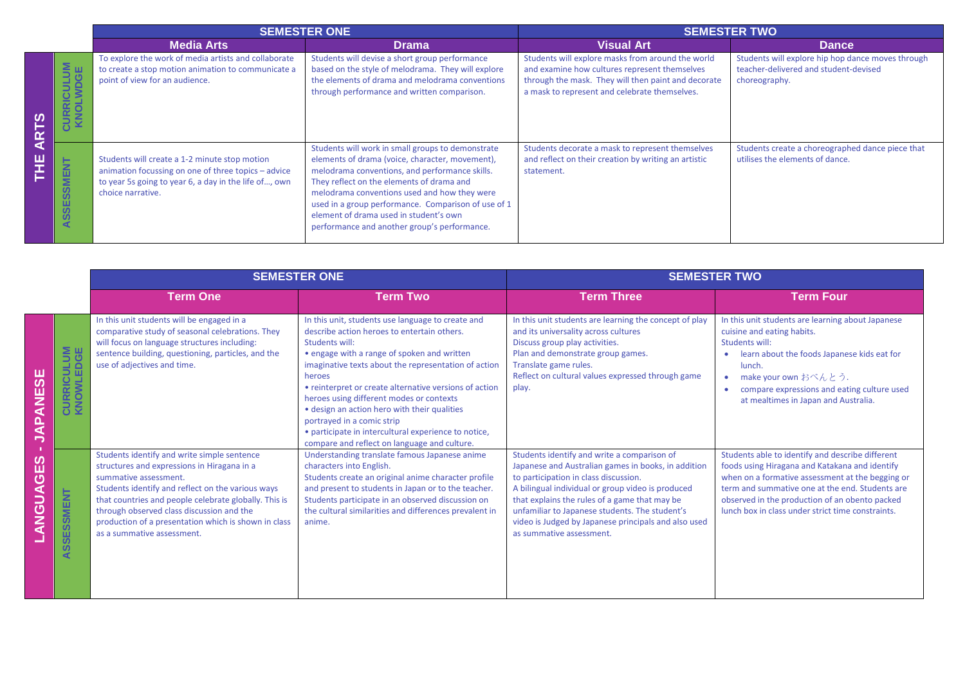|           |                                         | <b>SEMESTER ONE</b>                                                                                                                                                                |                                                                                                                                                                                                                                                                                                                                                                                                      | <b>SEMESTER TWO</b>                                                                                                                                                                                        |                                                                                                             |
|-----------|-----------------------------------------|------------------------------------------------------------------------------------------------------------------------------------------------------------------------------------|------------------------------------------------------------------------------------------------------------------------------------------------------------------------------------------------------------------------------------------------------------------------------------------------------------------------------------------------------------------------------------------------------|------------------------------------------------------------------------------------------------------------------------------------------------------------------------------------------------------------|-------------------------------------------------------------------------------------------------------------|
|           |                                         | <b>Media Arts</b>                                                                                                                                                                  | <b>Drama</b>                                                                                                                                                                                                                                                                                                                                                                                         | <b>Visual Art</b>                                                                                                                                                                                          | <b>Dance</b>                                                                                                |
| ကို<br>ī٢ | $rac{5}{5}$ $rac{1}{5}$<br><b>RICUL</b> | To explore the work of media artists and collaborate<br>to create a stop motion animation to communicate a<br>point of view for an audience.                                       | Students will devise a short group performance<br>based on the style of melodrama. They will explore<br>the elements of drama and melodrama conventions<br>through performance and written comparison.                                                                                                                                                                                               | Students will explore masks from around the world<br>and examine how cultures represent themselves<br>through the mask. They will then paint and decorate<br>a mask to represent and celebrate themselves. | Students will explore hip hop dance moves through<br>teacher-delivered and student-devised<br>choreography. |
| ◀<br>뿓    | <b>SSESSMENT</b><br>∢                   | Students will create a 1-2 minute stop motion<br>animation focussing on one of three topics - advice<br>to year 5s going to year 6, a day in the life of, own<br>choice narrative. | Students will work in small groups to demonstrate<br>elements of drama (voice, character, movement),<br>melodrama conventions, and performance skills.<br>They reflect on the elements of drama and<br>melodrama conventions used and how they were<br>used in a group performance. Comparison of use of 1<br>element of drama used in student's own<br>performance and another group's performance. | Students decorate a mask to represent themselves<br>and reflect on their creation by writing an artistic<br>statement.                                                                                     | Students create a choreographed dance piece that<br>utilises the elements of dance.                         |

|                          |                                                 | <b>SEMESTER ONE</b>                                                                                                                                                                                                                                                                                                                                                  |                                                                                                                                                                                                                                                                                                                                                                                                                                                                                                                                 | <b>SEMESTER TWO</b>                                                                                                                                                                                                                                                                                                                                                                     |                                                                                                                                                                                                                                                                                                                  |
|--------------------------|-------------------------------------------------|----------------------------------------------------------------------------------------------------------------------------------------------------------------------------------------------------------------------------------------------------------------------------------------------------------------------------------------------------------------------|---------------------------------------------------------------------------------------------------------------------------------------------------------------------------------------------------------------------------------------------------------------------------------------------------------------------------------------------------------------------------------------------------------------------------------------------------------------------------------------------------------------------------------|-----------------------------------------------------------------------------------------------------------------------------------------------------------------------------------------------------------------------------------------------------------------------------------------------------------------------------------------------------------------------------------------|------------------------------------------------------------------------------------------------------------------------------------------------------------------------------------------------------------------------------------------------------------------------------------------------------------------|
|                          |                                                 | <b>Term One</b>                                                                                                                                                                                                                                                                                                                                                      | <b>Term Two</b>                                                                                                                                                                                                                                                                                                                                                                                                                                                                                                                 | <b>Term Three</b>                                                                                                                                                                                                                                                                                                                                                                       | <b>Term Four</b>                                                                                                                                                                                                                                                                                                 |
| <b>JAPANESE</b>          | §₩<br><b>RICULI</b><br>WLED<br>CURI<br>KNO      | In this unit students will be engaged in a<br>comparative study of seasonal celebrations. They<br>will focus on language structures including:<br>sentence building, questioning, particles, and the<br>use of adjectives and time.                                                                                                                                  | In this unit, students use language to create and<br>describe action heroes to entertain others.<br>Students will:<br>• engage with a range of spoken and written<br>imaginative texts about the representation of action<br>heroes<br>• reinterpret or create alternative versions of action<br>heroes using different modes or contexts<br>• design an action hero with their qualities<br>portrayed in a comic strip<br>• participate in intercultural experience to notice,<br>compare and reflect on language and culture. | In this unit students are learning the concept of play<br>and its universality across cultures<br>Discuss group play activities.<br>Plan and demonstrate group games.<br>Translate game rules.<br>Reflect on cultural values expressed through game<br>play.                                                                                                                            | In this unit students are learning about Japanese<br>cuisine and eating habits.<br>Students will:<br>learn about the foods Japanese kids eat for<br>$\bullet$<br>lunch.<br>make your own おべんとう.<br>$\bullet$<br>compare expressions and eating culture used<br>at mealtimes in Japan and Australia.              |
| п<br><b>GES</b><br>ANGUA | SSMENT<br>w<br>$\omega$<br>$\blacktriangleleft$ | Students identify and write simple sentence<br>structures and expressions in Hiragana in a<br>summative assessment.<br>Students identify and reflect on the various ways<br>that countries and people celebrate globally. This is<br>through observed class discussion and the<br>production of a presentation which is shown in class<br>as a summative assessment. | Understanding translate famous Japanese anime<br>characters into English.<br>Students create an original anime character profile<br>and present to students in Japan or to the teacher.<br>Students participate in an observed discussion on<br>the cultural similarities and differences prevalent in<br>anime.                                                                                                                                                                                                                | Students identify and write a comparison of<br>Japanese and Australian games in books, in addition<br>to participation in class discussion.<br>A bilingual individual or group video is produced<br>that explains the rules of a game that may be<br>unfamiliar to Japanese students. The student's<br>video is Judged by Japanese principals and also used<br>as summative assessment. | Students able to identify and describe different<br>foods using Hiragana and Katakana and identify<br>when on a formative assessment at the begging or<br>term and summative one at the end. Students are<br>observed in the production of an obento packed<br>lunch box in class under strict time constraints. |